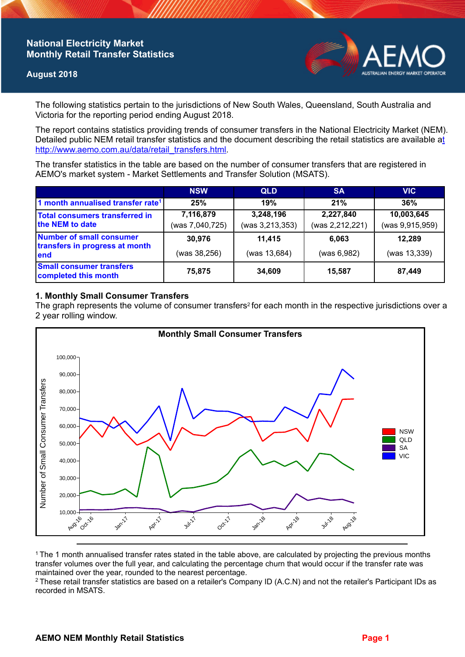# **National Electricity Market Monthly Retail Transfer Statistics**

### **August 2018**



The following statistics pertain to the jurisdictions of New South Wales, Queensland, South Australia and Victoria for the reporting period ending August 2018.

The report contains statistics providing trends of consumer transfers in the National Electricity Market (NEM). Detailed public NEM retail transfer statistics and the document describing the retail statistics are available a[t](http://www.aemo.com.au/data/retail_transfers.html)  http://www.aemo.com.au/data/retail\_transfers.html

The transfer statistics in the table are based on the number of consumer transfers that are registered in AEMO's market system - Market Settlements and Transfer Solution (MSATS).

|                                                                    | <b>NSW</b>                   | <b>QLD</b>                   | <b>SA</b>                    | <b>VIC</b>                    |
|--------------------------------------------------------------------|------------------------------|------------------------------|------------------------------|-------------------------------|
| 1 month annualised transfer rate <sup>1</sup>                      | 25%                          | 19%                          | 21%                          | 36%                           |
| <b>Total consumers transferred in</b><br>the NEM to date           | 7,116,879<br>(was 7,040,725) | 3,248,196<br>(was 3,213,353) | 2,227,840<br>(was 2,212,221) | 10,003,645<br>(was 9,915,959) |
| Number of small consumer<br>transfers in progress at month<br>lend | 30,976<br>(was 38,256)       | 11,415<br>(was 13,684)       | 6.063<br>(was 6,982)         | 12,289<br>(was 13,339)        |
| <b>Small consumer transfers</b><br>completed this month            | 75,875                       | 34,609                       | 15.587                       | 87,449                        |

## **1. Monthly Small Consumer Transfers**

The graph represents the volume of consumer transfers<sup>2</sup> for each month in the respective jurisdictions over a 2 year rolling window.



<sup>1</sup>The 1 month annualised transfer rates stated in the table above, are calculated by projecting the previous months transfer volumes over the full year, and calculating the percentage churn that would occur if the transfer rate was maintained over the year, rounded to the nearest percentage.

<sup>2</sup> These retail transfer statistics are based on a retailer's Company ID (A.C.N) and not the retailer's Participant IDs as recorded in MSATS.